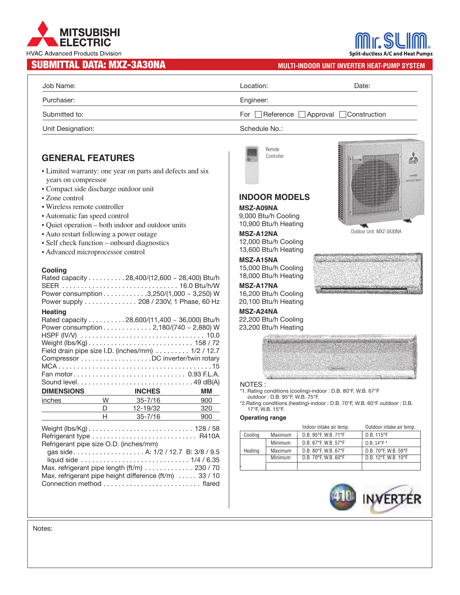# **MITSUBISHI** ELECTRIC **HVAC Advanced Products Division**

## **SUBMITTAL DATA: MXZ-3A30NA MULTI-INDOOR UNIT INVERTER HEAT-PUMP SYSTEM**

| Job Name:         | Location:     | Date:                               |
|-------------------|---------------|-------------------------------------|
| Purchaser:        | Engineer:     |                                     |
| Submitted to:     |               | For Reference Approval Construction |
| Unit Designation: | Schedule No.: |                                     |

Remote Controller

**INDOOR MODELS**

12,000 Btu/h Cooling 13,600 Btu/h Heating

15,000 Btu/h Cooling 18,000 Btu/h Heating

16,200 Btu/h Cooling 20,100 Btu/h Heating

22,200 Btu/h Cooling 23,200 Btu/h Heating

**MSZ-A09NA** 9,000 Btu/h Cooling 10,900 Btu/h Heating

**MSZ-A12NA**

**MSZ-A15NA**

**MSZ-A17NA**

**MSZ-A24NA**

### **GENERAL FEATURES**

- Limited warranty: one year on parts and defects and six years on compressor
- Compact side discharge outdoor unit
- Zone control
- Wireless remote controller
- Automatic fan speed control
- Quiet operation both indoor and outdoor units
- Auto restart following a power outage
- Self check function onboard diagnostics
- Advanced microprocessor control

#### **Cooling**

|                                        |                          | Rated capacity 28,400/(12,600 ~ 28,400) Btu/h<br>SEER  16.0 Btu/h/W<br>Power consumption 3,250/(1,000 ~ 3,250) W<br>Power supply 208 / 230V, 1 Phase, 60 Hz |     |
|----------------------------------------|--------------------------|-------------------------------------------------------------------------------------------------------------------------------------------------------------|-----|
| <b>Heating</b>                         |                          |                                                                                                                                                             |     |
|                                        |                          | Rated capacity 28,600/(11,400 ~ 36,000) Btu/h                                                                                                               |     |
|                                        |                          | Power consumption 2,180/(740 ~ 2,880) W                                                                                                                     |     |
|                                        |                          |                                                                                                                                                             |     |
|                                        |                          |                                                                                                                                                             |     |
|                                        |                          | Field drain pipe size I.D. (inches/mm) 1/2 / 12.7                                                                                                           |     |
|                                        |                          | Compressor DC inverter/twin rotary                                                                                                                          |     |
|                                        |                          |                                                                                                                                                             |     |
|                                        |                          |                                                                                                                                                             |     |
|                                        |                          |                                                                                                                                                             |     |
|                                        |                          |                                                                                                                                                             |     |
| <b>DIMENSIONS</b>                      |                          | <b>INCHES</b>                                                                                                                                               | ΜМ  |
| inches                                 |                          | $35 - 7/16$                                                                                                                                                 | 900 |
|                                        | $W \longrightarrow$<br>D | 12-19/32                                                                                                                                                    | 320 |
|                                        | H.                       | $35 - 7/16$                                                                                                                                                 | 900 |
|                                        |                          |                                                                                                                                                             |     |
|                                        |                          |                                                                                                                                                             |     |
|                                        |                          |                                                                                                                                                             |     |
| Refrigerant pipe size O.D. (inches/mm) |                          | gas side A: 1/2 / 12.7 B: 3/8 / 9.5                                                                                                                         |     |
|                                        |                          | Max. refrigerant pipe length (ft/m) 230 / 70                                                                                                                |     |
|                                        |                          | Max. refrigerant pipe height difference (ft/m)  33 / 10                                                                                                     |     |



**Split-ductless A/C and Heat Pumps** 

Outdoor Unit: MXZ-3A30NA



### NOTES :

\*1. Rating conditions (cooling)-indoor : D.B. 80°F, W.B. 67°F outdoor : D.B. 95°F, W.B. 75°F.

\*2.Rating conditions (heating)-indoor : D.B. 70°F, W.B. 60°F outdoor : D.B. 17°F, W.B. 15°F.

#### **Operating range**

|         |                | Indoor intake air temp. | Outdoor intake air temp. |
|---------|----------------|-------------------------|--------------------------|
| Cooling | <b>Maximum</b> | D.B. 95°F, W.B. 71°F    | D.B. 115°F               |
|         | Minimum        | D.B. 67°F. W.B. 57°F    | D.B. 14°F*               |
| Heating | Maximum        | D.B. 80°F. W.B. 67°F    | D.B. 70°F. W.B. 59°F     |
|         | Minimum        | D.B. 70°F. W.B. 60°F    | D.B. 12°F. W.B. 10°F     |
|         |                |                         |                          |



Notes: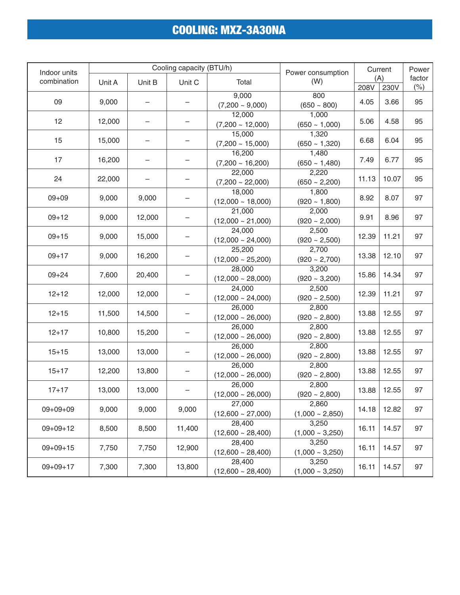# COOLING: MXZ-3A30NA

| Indoor units        | Cooling capacity (BTU/h)      |                |                        | Power consumption      | Current              |       | Power |        |  |
|---------------------|-------------------------------|----------------|------------------------|------------------------|----------------------|-------|-------|--------|--|
| combination         | Unit A                        | Unit B         | Unit C                 | Total                  | (W)                  | (A)   |       | factor |  |
|                     |                               |                |                        |                        |                      | 208V  | 230V  | (%)    |  |
| 09                  | 9,000                         |                |                        | 9,000                  | 800                  | 4.05  | 3.66  | 95     |  |
|                     |                               |                |                        | $(7,200 \sim 9,000)$   | $(650 - 800)$        |       |       |        |  |
| 12                  | 12,000                        |                |                        | 12,000                 | 1,000                | 5.06  | 4.58  | 95     |  |
|                     |                               |                |                        | $(7,200 \sim 12,000)$  | $(650 - 1,000)$      |       |       |        |  |
| 15                  | 15,000                        |                |                        | 15,000                 | 1,320                | 6.68  | 6.04  | 95     |  |
|                     |                               |                |                        | $(7,200 \sim 15,000)$  | $(650 - 1,320)$      |       |       |        |  |
| 17                  | 16,200                        |                |                        | 16,200                 | 1,480                | 7.49  | 6.77  | 95     |  |
|                     |                               |                |                        | $(7,200 \sim 16,200)$  | $(650 - 1,480)$      |       |       |        |  |
| 24                  | 22,000                        |                |                        | 22,000                 | 2,220                | 11.13 | 10.07 |        |  |
|                     |                               |                |                        | $(7,200 \sim 22,000)$  | $(650 - 2,200)$      |       |       | 95     |  |
|                     |                               |                |                        | 18,000                 | 1,800                |       |       |        |  |
| $09 + 09$           | 9,000                         | 9,000          |                        | $(12,000 \sim 18,000)$ | $(920 \sim 1,800)$   | 8.92  | 8.07  | 97     |  |
|                     |                               |                |                        | 21,000                 | 2,000                |       |       | 97     |  |
| $09 + 12$           | 9,000                         | 12,000         |                        | $(12,000 \sim 21,000)$ | $(920 \sim 2,000)$   | 9.91  | 8.96  |        |  |
|                     |                               |                |                        | 24,000                 | 2,500                |       | 11.21 | 97     |  |
| $09 + 15$           | 9,000                         | 15,000         |                        | $(12,000 \sim 24,000)$ | $(920 - 2,500)$      | 12.39 |       |        |  |
|                     |                               | 16,200         |                        | 25,200                 | 2,700                | 13.38 | 12.10 | 97     |  |
|                     | $09 + 17$<br>9,000            |                |                        | $(12,000 \sim 25,200)$ | $(920 - 2,700)$      |       |       |        |  |
|                     |                               |                |                        | 28,000                 | 3,200                |       |       |        |  |
| $09 + 24$           | 7,600                         | 20,400         |                        | $(12,000 \sim 28,000)$ | $(920 \sim 3,200)$   | 15.86 | 14.34 | 97     |  |
|                     |                               |                |                        |                        | 24,000               | 2,500 |       |        |  |
| $12 + 12$           | 12,000                        | 12,000         |                        | $(12,000 \sim 24,000)$ | $(920 \sim 2,500)$   | 12.39 | 11.21 | 97     |  |
|                     |                               |                |                        | 26,000                 | 2,800                |       |       |        |  |
| $12 + 15$           | 11,500                        | 14,500         |                        | $(12,000 \sim 26,000)$ | $(920 - 2,800)$      | 13.88 | 12.55 | 97     |  |
|                     | $12 + 17$<br>10,800<br>15,200 |                |                        | 26,000                 | 2,800                | 13.88 | 12.55 | 97     |  |
|                     |                               |                |                        | $(12,000 \sim 26,000)$ | $(920 - 2,800)$      |       |       |        |  |
|                     |                               |                |                        | 26,000                 | 2,800                |       |       |        |  |
| $15 + 15$           | 13,000                        | 13,000         |                        | $(12,000 \sim 26,000)$ | $(920 \sim 2,800)$   | 13.88 | 12.55 | 97     |  |
|                     |                               |                |                        | 26,000                 | 2,800                |       |       |        |  |
| $15 + 17$<br>12,200 | 13,800                        |                | $(12,000 \sim 26,000)$ | $(920 \sim 2,800)$     | 13.88                | 12.55 | 97    |        |  |
|                     |                               |                |                        | 26,000                 | 2,800                |       |       |        |  |
| $17 + 17$<br>13,000 | 13,000                        |                | $(12,000 \sim 26,000)$ | $(920 \sim 2,800)$     | 13.88                | 12.55 | 97    |        |  |
| 9,000<br>$09+09+09$ |                               |                | 27,000                 | 2,860                  |                      |       |       |        |  |
|                     |                               | 9,000          | 9,000                  | $(12,600 \sim 27,000)$ | $(1,000 - 2,850)$    | 14.18 | 12.82 | 97     |  |
|                     |                               |                | 11,400                 | 28,400                 | 3,250                | 16.11 |       | 97     |  |
| $09+09+12$          |                               | 8,500<br>8,500 |                        | $(12,600 \sim 28,400)$ | $(1,000 - 3,250)$    |       | 14.57 |        |  |
|                     |                               |                |                        | 28,400                 | 3,250                |       |       |        |  |
| $09+09+15$          | 7,750                         | 7,750          | 12,900                 | $(12,600 \sim 28,400)$ | $(1,000 \sim 3,250)$ | 16.11 | 14.57 | 97     |  |
|                     | 7,300<br>7,300                |                | 28,400                 | 3,250                  |                      |       |       |        |  |
| $09+09+17$          |                               |                | 13,800                 | $(12,600 \sim 28,400)$ | $(1,000 - 3,250)$    | 16.11 | 14.57 | 97     |  |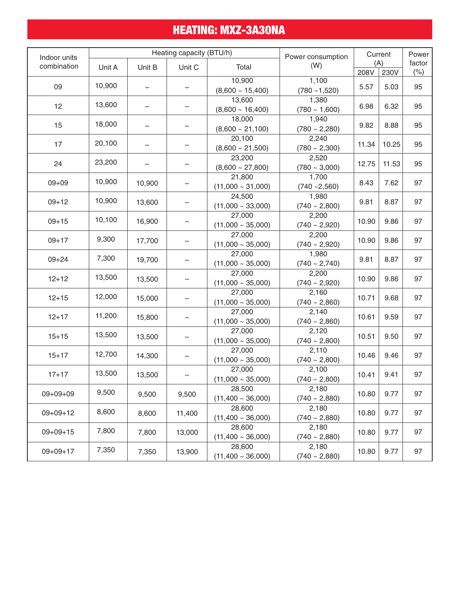# HEATING: MXZ-3A30NA

| Indoor units            | Heating capacity (BTU/h) |                          |                        | Power consumption               | Current                     |       | Power |        |
|-------------------------|--------------------------|--------------------------|------------------------|---------------------------------|-----------------------------|-------|-------|--------|
| combination             |                          | Unit A<br>Unit B         |                        | Total                           | (W)                         | (A)   |       | factor |
|                         |                          |                          | Unit C                 |                                 |                             | 208V  | 230V  | (% )   |
| 09                      | 10,900                   |                          |                        | 10,900                          | 1,100                       | 5.57  | 5.03  | 95     |
|                         |                          |                          |                        | $(8,600 \sim 15,400)$<br>13,600 | $(780 - 1,520)$<br>1,380    |       |       |        |
| 12                      | 13,600                   | $\overline{\phantom{0}}$ |                        | $(8,600 \sim 16,400)$           | $(780 - 1,600)$             | 6.98  | 6.32  | 95     |
|                         |                          |                          |                        | 18,000                          | 1,940                       |       |       |        |
| 15                      | 18,000                   |                          |                        | $(8,600 \sim 21,100)$           | $(780 \sim 2,280)$          | 9.82  | 8.88  | 95     |
|                         |                          |                          |                        | 20,100                          | 2,240                       |       |       |        |
| 17                      | 20,100                   |                          |                        | $(8,600 \sim 21,500)$           | $(780 \sim 2,300)$          | 11.34 | 10.25 | 95     |
|                         |                          |                          |                        | 23,200                          | 2,520                       | 12.75 |       |        |
| 24                      | 23,200                   |                          |                        | $(8,600 \sim 27,800)$           | $(780 - 3,000)$             |       | 11.53 | 95     |
|                         | 10,900                   |                          |                        | 21,800                          | 1,700                       |       |       |        |
| $09 + 09$               |                          | 10,900                   |                        | $(11,000 \sim 31,000)$          | $(740 - 2,560)$             | 8.43  | 7.62  | 97     |
| $09 + 12$               | 10,900                   | 13,600                   |                        | 24,500                          | 1,980                       | 9.81  | 8.87  | 97     |
|                         |                          |                          |                        | $(11,000 \sim 33,000)$          | $(740 \sim 2,800)$          |       |       |        |
| $09 + 15$               | 10,100                   | 16,900                   |                        | 27,000                          | 2,200                       | 10.90 | 9.86  | 97     |
|                         |                          |                          |                        | $(11,000 \sim 35,000)$          | $(740 \sim 2,920)$          |       |       |        |
| $09 + 17$               | 9,300                    | 17,700                   |                        | 27,000                          | 2,200                       | 10.90 | 9.86  | 97     |
|                         |                          |                          |                        | $(11,000 - 35,000)$             | $(740 \sim 2,920)$          |       |       |        |
| $09 + 24$               | 7,300                    | 19,700                   |                        | 27,000                          | 1,980                       | 9.81  | 8.87  | 97     |
|                         |                          |                          |                        | $(11,000 \sim 35,000)$          | $(740 \sim 2,740)$          |       |       |        |
| $12 + 12$               | 13,500                   | 13,500                   |                        | 27,000                          | 2,200                       | 10.90 | 9.86  | 97     |
|                         |                          |                          |                        | $(11,000 - 35,000)$             | $(740 \sim 2,920)$          |       |       |        |
| $12 + 15$               | 12,000                   | 15,000                   |                        | 27,000                          | 2,160                       | 10.71 | 9.68  | 97     |
|                         |                          |                          |                        | $(11,000 - 35,000)$<br>27,000   | $(740 \sim 2,860)$<br>2,140 |       |       |        |
| $12 + 17$               | 11,200                   | 15,800                   |                        | $(11,000 - 35,000)$             | $(740 \sim 2,860)$          | 10.61 | 9.59  | 97     |
|                         |                          |                          |                        | 27,000                          | 2,120                       |       |       |        |
| $15 + 15$               | 13,500                   | 13,500                   |                        | $(11,000 - 35,000)$             | $(740 \sim 2,800)$          | 10.51 | 9.50  | 97     |
|                         |                          |                          |                        | 27,000                          | 2,110                       | 10.46 | 9.46  | 97     |
| 12,700<br>$15 + 17$     | 14,300                   | $(11,000 \sim 35,000)$   |                        | $(740 \sim 2,800)$              |                             |       |       |        |
|                         |                          |                          |                        | 27,000                          | 2,100                       |       |       |        |
| 13,500<br>$17 + 17$     | 13,500                   |                          | $(11,000 \sim 35,000)$ | $(740 \sim 2,800)$              | 10.41                       | 9.41  | 97    |        |
| 9,500<br>$09 + 09 + 09$ |                          |                          | 28,500                 | 2,180                           |                             |       |       |        |
|                         |                          | 9,500                    | 9,500                  | $(11,400 \sim 36,000)$          | $(740 - 2,880)$             | 10.80 | 9.77  | 97     |
| 8,600<br>$09+09+12$     |                          |                          | 28,600                 | 2,180                           |                             |       |       |        |
|                         |                          | 8,600                    | 11,400                 | $(11,400 \sim 36,000)$          | $(740 - 2,880)$             | 10.80 | 9.77  | 97     |
| $09+09+15$              | 7,800                    |                          |                        | 28,600                          | 2,180                       | 10.80 | 9.77  | 97     |
|                         |                          | 7,800                    | 13,000                 | $(11,400 \sim 36,000)$          | $(740 - 2,880)$             |       |       |        |
|                         | 7,350                    |                          |                        | 28,600                          | 2,180                       | 10.80 | 9.77  | 97     |
| $09 + 09 + 17$          |                          | 7,350                    | 13,900                 | $(11,400 \sim 36,000)$          | $(740 - 2,880)$             |       |       |        |